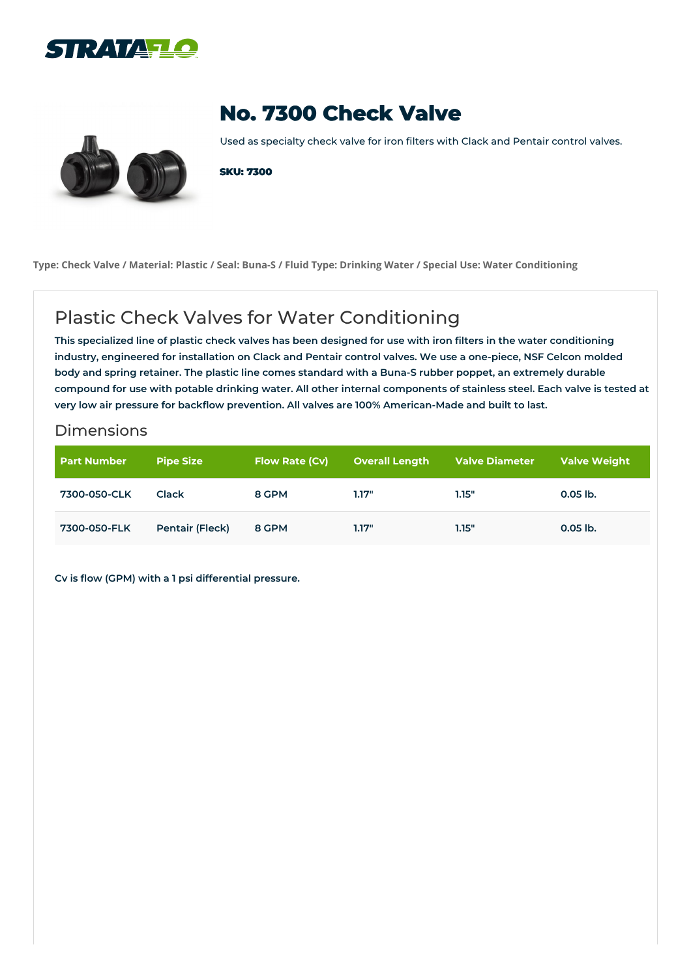



## **No. 7300 Check Valve**

Used as specialty check valve for iron filters with Clack and Pentair control valves.

**SKU: 7300**

Type: Check Valve / Material: Plastic / Seal: Buna-S / Fluid Type: Drinking Water / Special Use: Water Conditioning

## Plastic Check Valves for Water Conditioning

This specialized line of plastic check valves has been designed for use with iron filters in the water conditioning industry, engineered for installation on Clack and Pentair control valves. We use a one-piece, NSF Celcon molded body and spring retainer. The plastic line comes standard with a Buna-S rubber poppet, an extremely durable compound for use with potable drinking water. All other internal components of stainless steel. Each valve is tested at **very low air pressure for backflow prevention. All valves are 100% American-Made and built to last.**

## Dimensions

| <b>Part Number</b> | <b>Pipe Size</b>       | <b>Flow Rate (Cv)</b> | Overall Length | <b>Valve Diameter</b> | Valve Weight |
|--------------------|------------------------|-----------------------|----------------|-----------------------|--------------|
| 7300-050-CLK       | <b>Clack</b>           | 8 GPM                 | 1.17"          | 1.15"                 | $0.05$ lb.   |
| 7300-050-FLK       | <b>Pentair (Fleck)</b> | 8 GPM                 | 1.17"          | 1.15"                 | $0.05$ lb.   |

**Cv is flow (GPM) with a 1 psi differential pressure.**